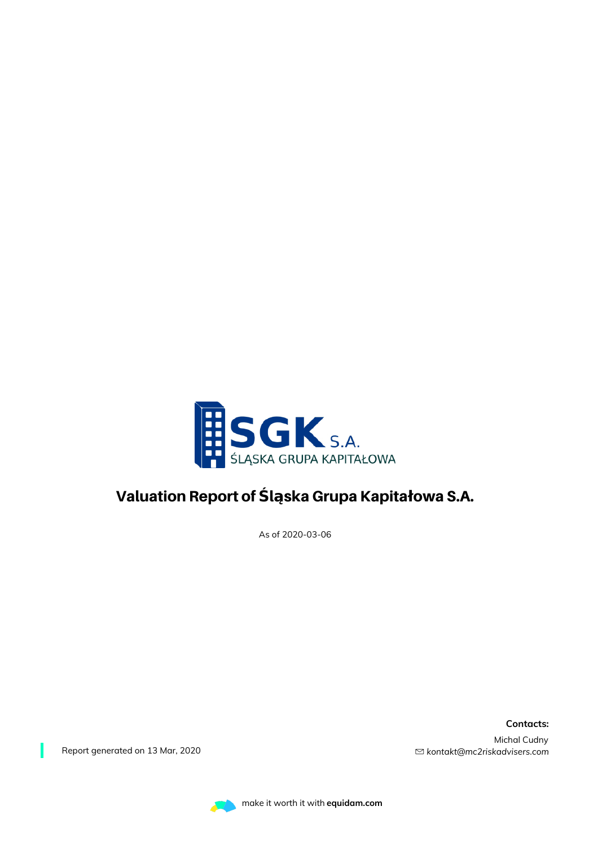

### Valuation Report of **Ś**l**ą**ska Grupa Kapita**ł**owa S.A.

As of 2020-03-06

**Contacts:** Michal Cudny *kontakt@mc2riskadvisers.com*

Report generated on 13 Mar, 2020

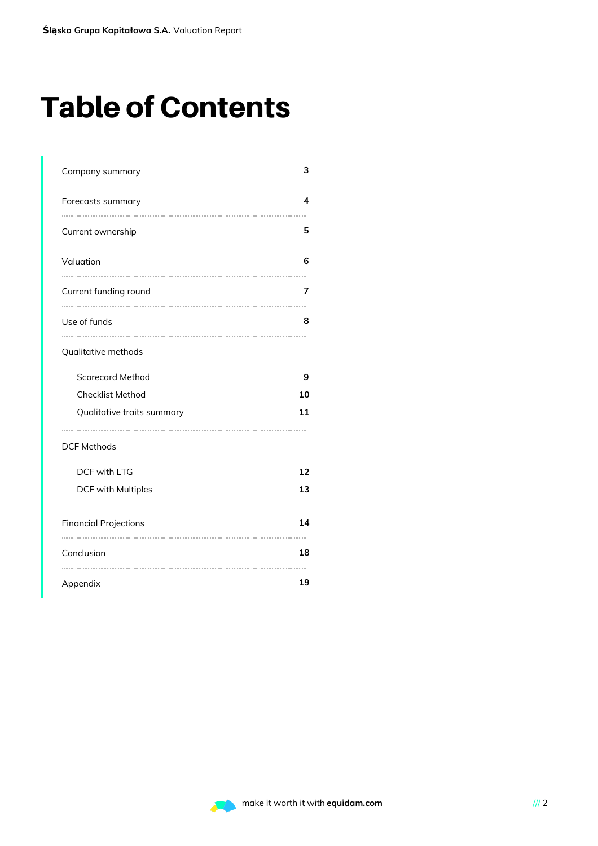# Table of Contents

| Company summary              | з  |
|------------------------------|----|
| Forecasts summary            | 4  |
| Current ownership            | 5  |
| Valuation                    | 6  |
| Current funding round        | 7  |
| Use of funds                 | 8  |
| Qualitative methods          |    |
| <b>Scorecard Method</b>      | 9  |
| <b>Checklist Method</b>      | 10 |
| Qualitative traits summary   | 11 |
| <b>DCF Methods</b>           |    |
| DCF with LTG                 | 12 |
| DCF with Multiples           | 13 |
| <b>Financial Projections</b> | 14 |
| Conclusion                   | 18 |
| Appendix                     | 19 |

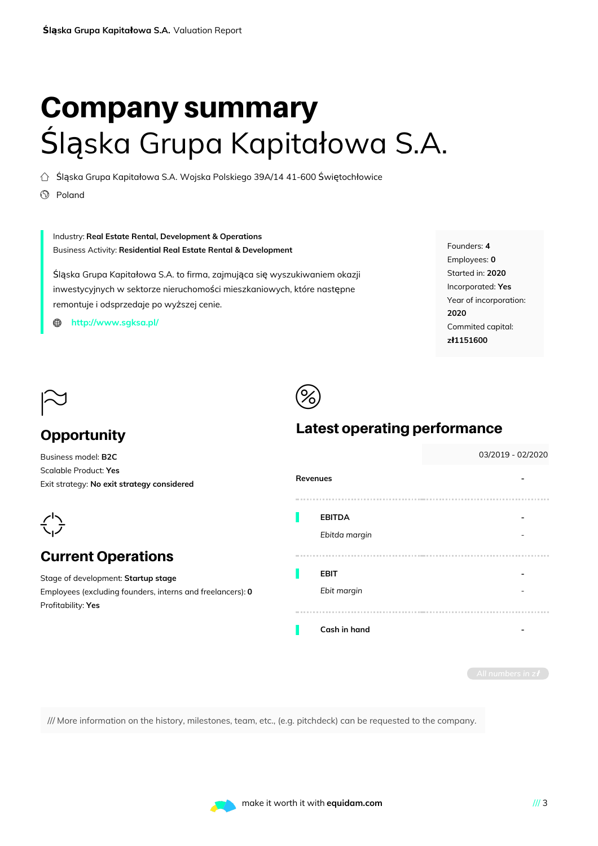# Company summary Śląska Grupa Kapitałowa S.A.

 $\bigcirc$  Śląska Grupa Kapitałowa S.A. Wojska Polskiego 39A/14 41-600 Świętochłowice

 $\circledS$  Poland

### Industry: **Real Estate Rental, Development & Operations** Business Activity: **Residential Real Estate Rental & Development**

Śląska Grupa Kapitałowa S.A. to firma, zajmująca się wyszukiwaniem okazji inwestycyjnych w sektorze nieruchomości mieszkaniowych, które następne remontuje i odsprzedaje po wyższej cenie.

**[http://www.sgksa.pl/](http://http//www.sgksa.pl/)** ⊕

Founders: **4** Employees: **0** Started in: **2020** Incorporated: **Yes** Year of incorporation: **2020** Commited capital: **zł1151600**



### **Opportunity**

Business model: **B2C** Scalable Product: **Yes** Exit strategy: **No exit strategy considered**



### Current Operations

Stage of development: **Startup stage** Employees (excluding founders, interns and freelancers): **0** Profitability: **Yes**

# $\circledS$

### Latest operating performance

|              |               |  |  | 03/2019 - 02/2020 |  |
|--------------|---------------|--|--|-------------------|--|
| Revenues     |               |  |  |                   |  |
|              |               |  |  |                   |  |
|              | <b>EBITDA</b> |  |  |                   |  |
|              | Ebitda margin |  |  |                   |  |
| <b>COLOR</b> |               |  |  |                   |  |
|              | <b>EBIT</b>   |  |  |                   |  |
|              | Ebit margin   |  |  |                   |  |
|              |               |  |  |                   |  |
|              | Cash in hand  |  |  |                   |  |
|              |               |  |  |                   |  |
|              |               |  |  |                   |  |

/// More information on the history, milestones, team, etc., (e.g. pitchdeck) can be requested to the company.

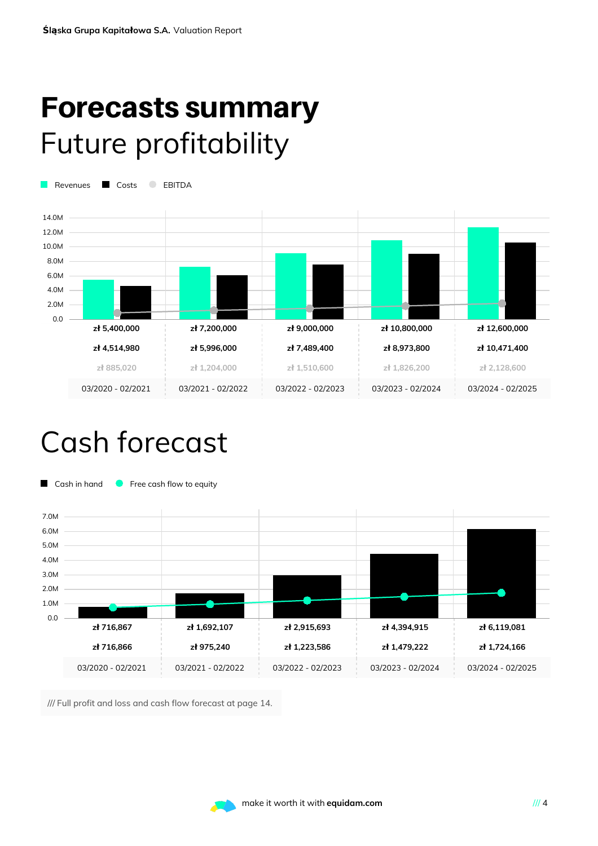# Forecasts summary Future profitability

Revenues Costs C EBITDA



## Cash forecast



/// Full profit and loss and cash flow forecast at page 14.

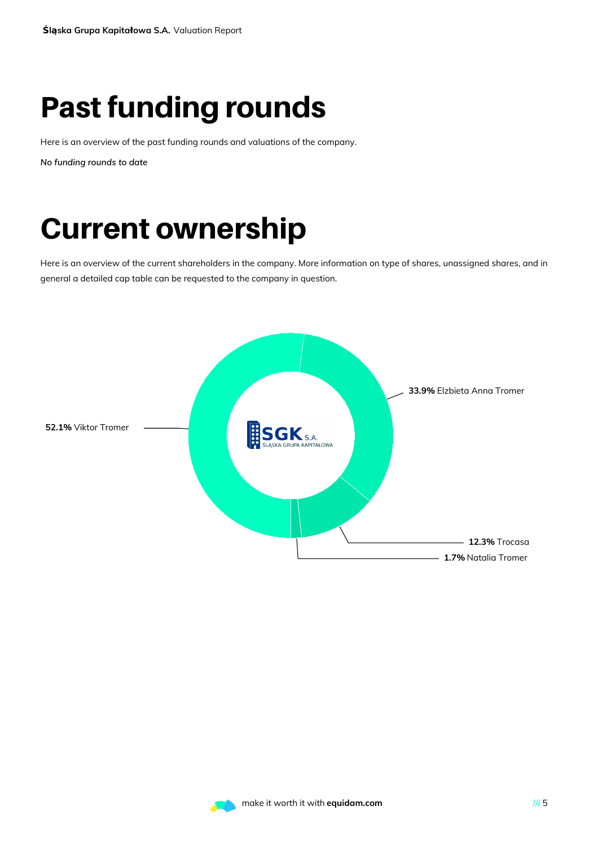# Past funding rounds

Here is an overview of the past funding rounds and valuations of the company.

*No funding rounds to date*

# Current ownership

Here is an overview of the current shareholders in the company. More information on type of shares, unassigned shares, and in general a detailed cap table can be requested to the company in question.



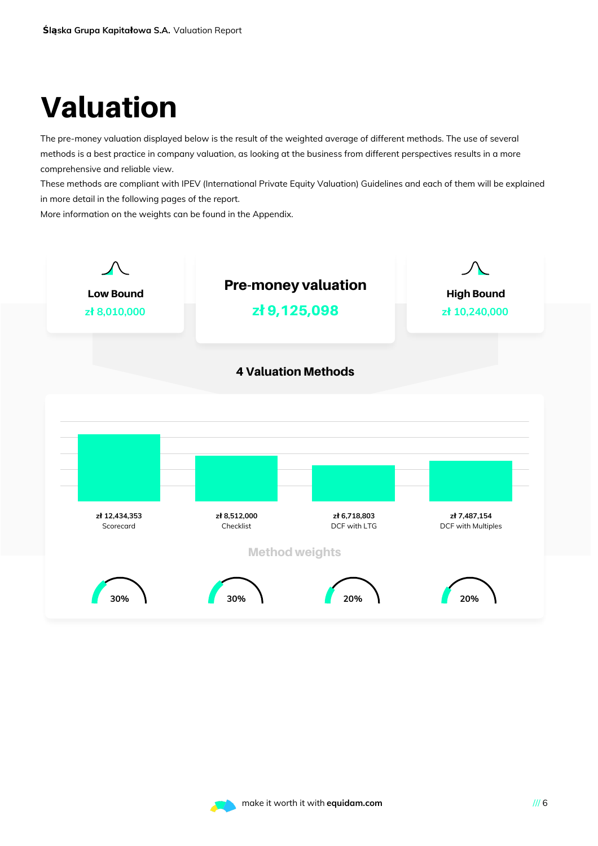# Valuation

The pre-money valuation displayed below is the result of the weighted average of different methods. The use of several methods is a best practice in company valuation, as looking at the business from different perspectives results in a more comprehensive and reliable view.

These methods are compliant with IPEV (International Private Equity Valuation) Guidelines and each of them will be explained in more detail in the following pages of the report.

More information on the weights can be found in the Appendix.



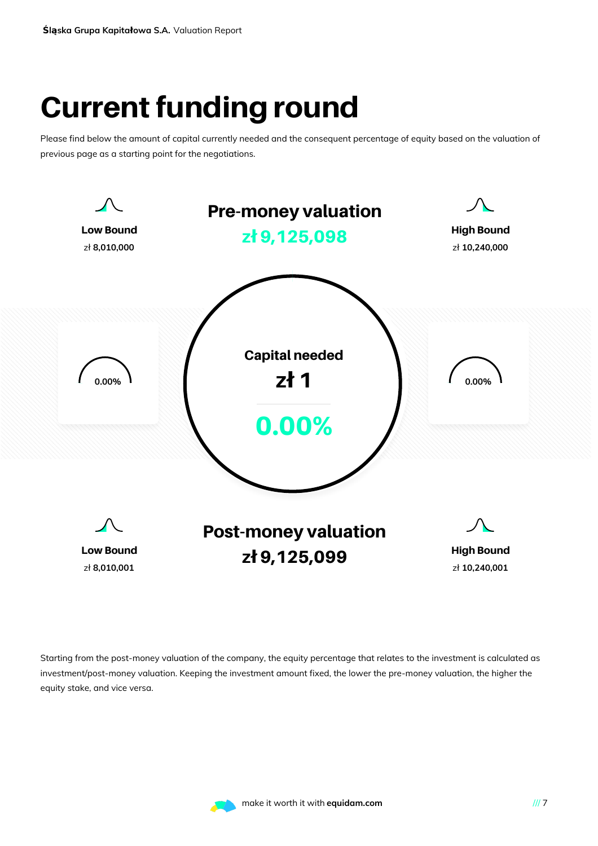# Current funding round

Please find below the amount of capital currently needed and the consequent percentage of equity based on the valuation of previous page as a starting point for the negotiations.



Starting from the post-money valuation of the company, the equity percentage that relates to the investment is calculated as investment/post-money valuation. Keeping the investment amount fixed, the lower the pre-money valuation, the higher the equity stake, and vice versa.

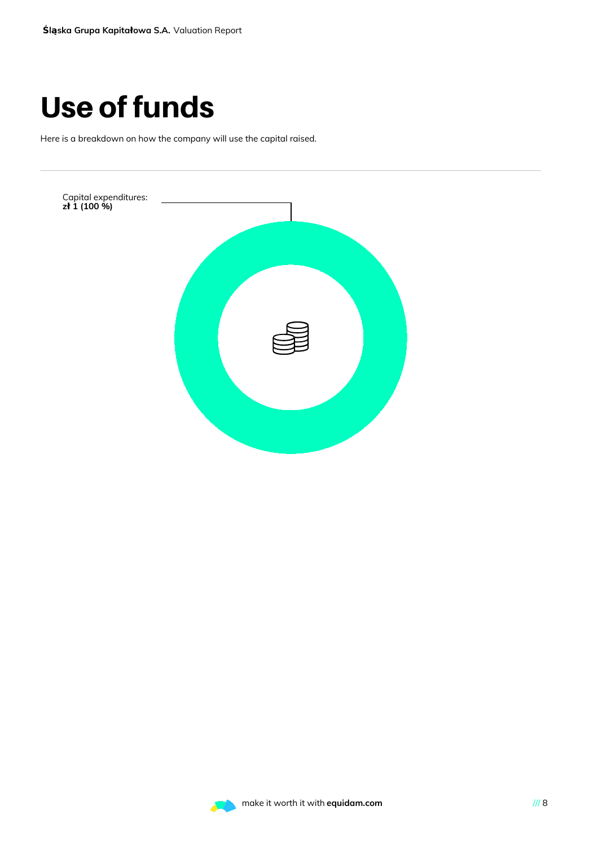# Use of funds

Here is a breakdown on how the company will use the capital raised.



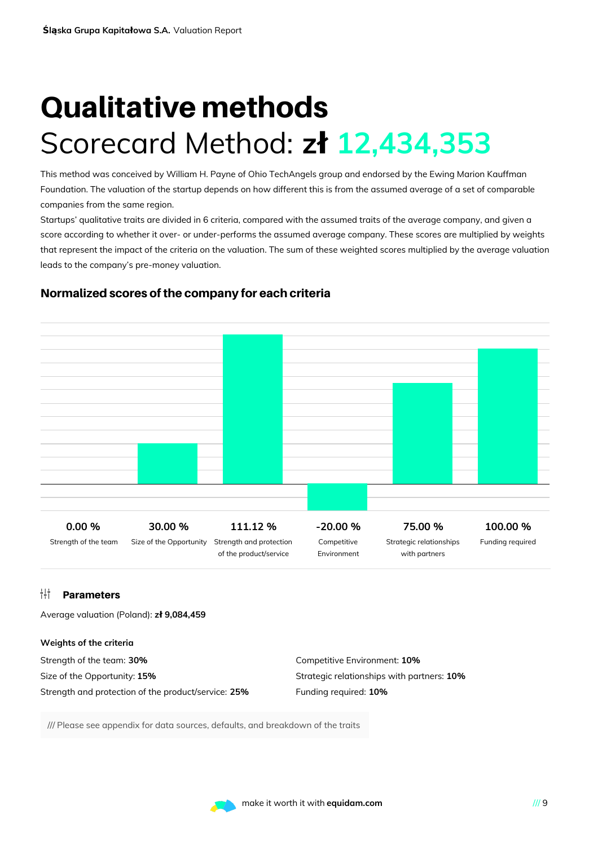# Qualitative methods Scorecard Method: **zł 12,434,353**

This method was conceived by William H. Payne of Ohio TechAngels group and endorsed by the Ewing Marion Kauffman Foundation. The valuation of the startup depends on how different this is from the assumed average of a set of comparable companies from the same region.

Startups' qualitative traits are divided in 6 criteria, compared with the assumed traits of the average company, and given a score according to whether it over- or under-performs the assumed average company. These scores are multiplied by weights that represent the impact of the criteria on the valuation. The sum of these weighted scores multiplied by the average valuation leads to the company's pre-money valuation.



### Normalized scores of the company for each criteria

### **Parameters**

Average valuation (Poland): **zł 9,084,459**

#### **Weights of the criteria**

| Strength of the team: <b>30%</b>                           | Competitive Environment: 10%               |
|------------------------------------------------------------|--------------------------------------------|
| Size of the Opportunity: <b>15%</b>                        | Strategic relationships with partners: 10% |
| Strength and protection of the product/service: <b>25%</b> | Funding required: 10%                      |

/// Please see appendix for data sources, defaults, and breakdown of the traits

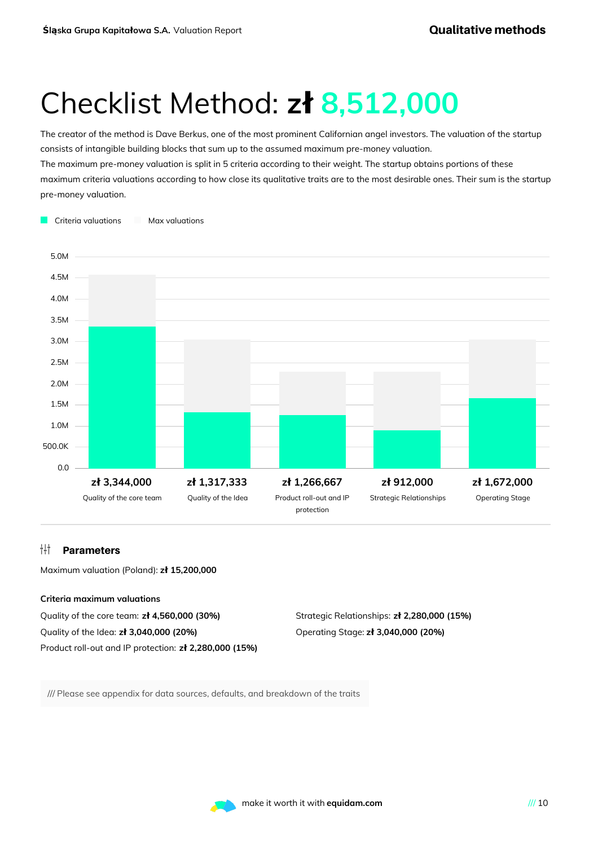# Checklist Method: **zł 8,512,000**

The creator of the method is Dave Berkus, one of the most prominent Californian angel investors. The valuation of the startup consists of intangible building blocks that sum up to the assumed maximum pre-money valuation.

The maximum pre-money valuation is split in 5 criteria according to their weight. The startup obtains portions of these maximum criteria valuations according to how close its qualitative traits are to the most desirable ones. Their sum is the startup pre-money valuation.



#### **Parameters**

Maximum valuation (Poland): **zł 15,200,000**

#### **Criteria maximum valuations**

Quality of the core team: **zł 4,560,000 (30%)** Quality of the Idea: **zł 3,040,000 (20%)** Product roll-out and IP protection: **zł 2,280,000 (15%)**

Strategic Relationships: **zł 2,280,000 (15%)** Operating Stage: **zł 3,040,000 (20%)**

/// Please see appendix for data sources, defaults, and breakdown of the traits

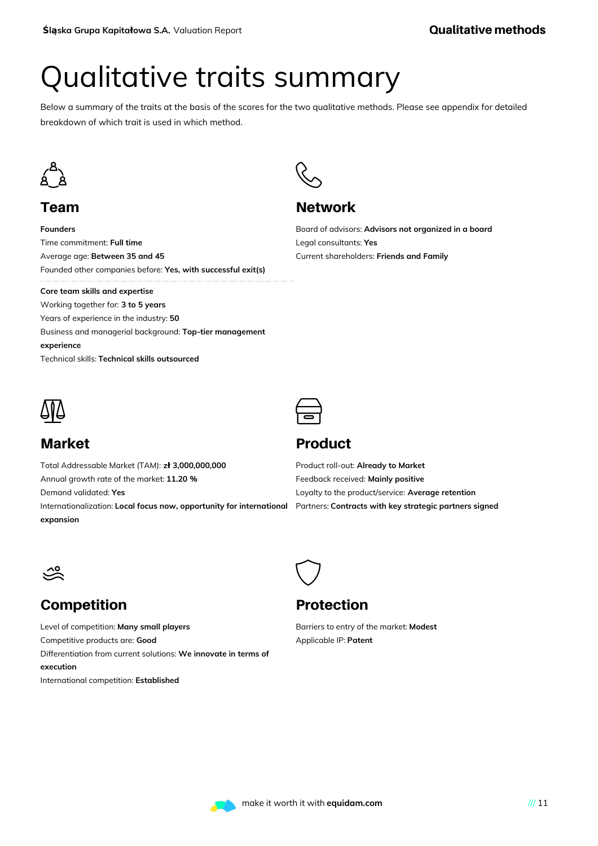# Qualitative traits summary

Below a summary of the traits at the basis of the scores for the two qualitative methods. Please see appendix for detailed breakdown of which trait is used in which method.

R<br>S

**Network** 

Legal consultants: **Yes**



### Team

**Founders** Time commitment: **Full time** Average age: **Between 35 and 45** Founded other companies before: **Yes, with successful exit(s)**

#### **Core team skills and expertise**

Working together for: **3 to 5 years** Years of experience in the industry: **50** Business and managerial background: **Top-tier management experience** Technical skills: **Technical skills outsourced**



### Market

Total Addressable Market (TAM): **zł 3,000,000,000** Annual growth rate of the market: **11.20 %** Demand validated: **Yes** Internationalization: **Local focus now, opportunity for international expansion**

### $\bigoplus$

### Product

Product roll-out: **Already to Market** Feedback received: **Mainly positive** Loyalty to the product/service: **Average retention** Partners: **Contracts with key strategic partners signed**

Board of advisors: **Advisors not organized in a board**

Current shareholders: **Friends and Family**



### Competition

Level of competition: **Many small players** Competitive products are: **Good** Differentiation from current solutions: **We innovate in terms of execution** International competition: **Established**

### Protection

 $\bigcirc$ 

Barriers to entry of the market: **Modest** Applicable IP: **Patent**

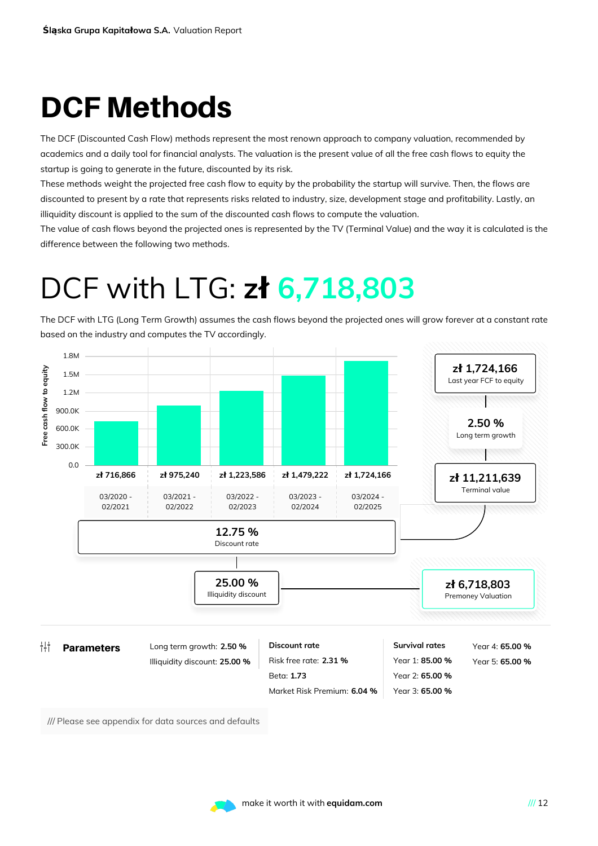# DCF Methods

The DCF (Discounted Cash Flow) methods represent the most renown approach to company valuation, recommended by academics and a daily tool for financial analysts. The valuation is the present value of all the free cash flows to equity the startup is going to generate in the future, discounted by its risk.

These methods weight the projected free cash flow to equity by the probability the startup will survive. Then, the flows are discounted to present by a rate that represents risks related to industry, size, development stage and profitability. Lastly, an illiquidity discount is applied to the sum of the discounted cash flows to compute the valuation.

The value of cash flows beyond the projected ones is represented by the TV (Terminal Value) and the way it is calculated is the difference between the following two methods.

## DCF with LTG: **zł 6,718,803**

The DCF with LTG (Long Term Growth) assumes the cash flows beyond the projected ones will grow forever at a constant rate based on the industry and computes the TV accordingly.



/// Please see appendix for data sources and defaults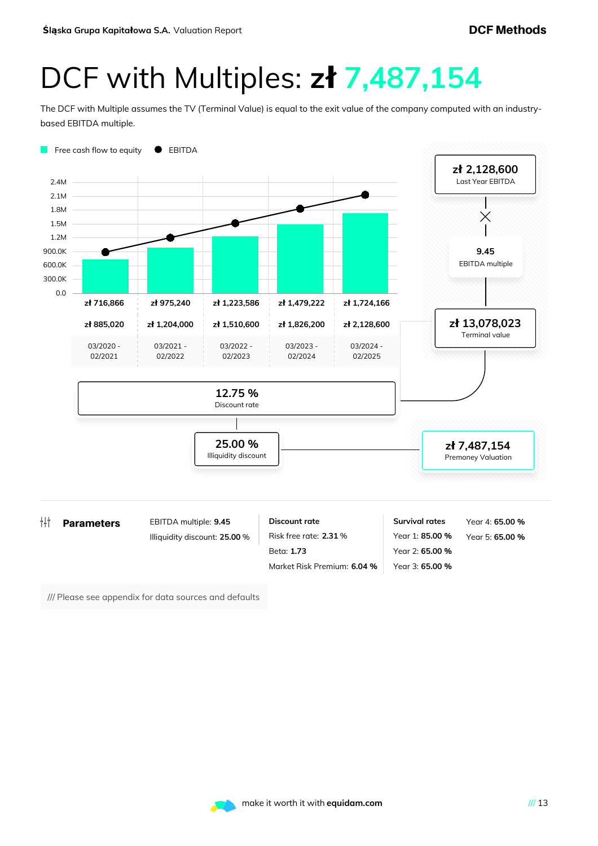## DCF with Multiples: **zł 7,487,154**

The DCF with Multiple assumes the TV (Terminal Value) is equal to the exit value of the company computed with an industrybased EBITDA multiple.



/// Please see appendix for data sources and defaults

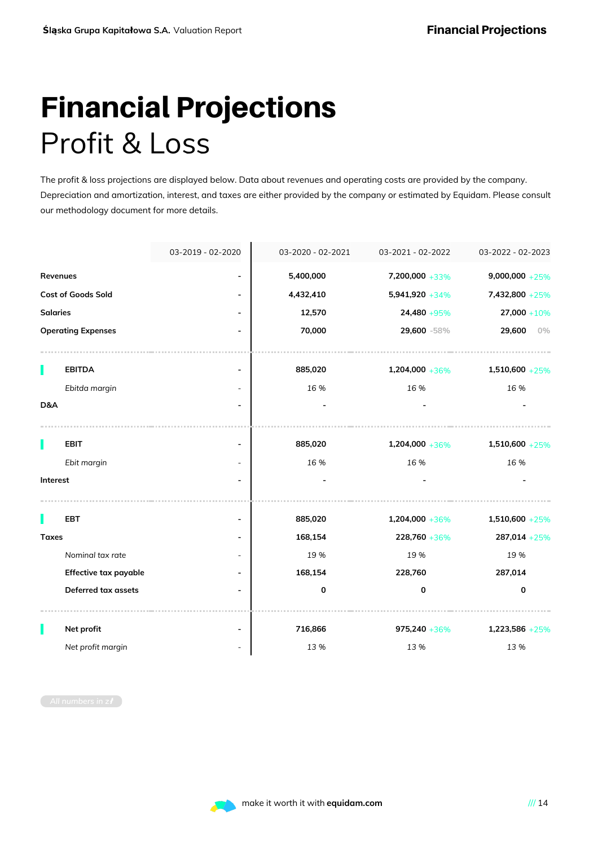# Financial Projections Profit & Loss

The profit & loss projections are displayed below. Data about revenues and operating costs are provided by the company. Depreciation and amortization, interest, and taxes are either provided by the company or estimated by Equidam. Please consult our methodology document for more details.

|                 |                           | 03-2019 - 02-2020        | 03-2020 - 02-2021 | 03-2021 - 02-2022  | 03-2022 - 02-2023  |
|-----------------|---------------------------|--------------------------|-------------------|--------------------|--------------------|
| Revenues        |                           |                          | 5,400,000         | 7,200,000 +33%     | $9,000,000 + 25\%$ |
|                 | <b>Cost of Goods Sold</b> |                          | 4,432,410         | $5,941,920 + 34\%$ | 7,432,800 +25%     |
| <b>Salaries</b> |                           |                          | 12,570            | 24,480 +95%        | $27,000 + 10%$     |
|                 | <b>Operating Expenses</b> |                          | 70,000            | 29,600 -58%        | 29,600<br>$0\%$    |
| П               | <b>EBITDA</b>             |                          | 885,020           | $1,204,000 + 36\%$ | $1,510,600 + 25\%$ |
|                 | Ebitda margin             |                          | 16 %              | 16 %               | 16%                |
| D&A             |                           |                          |                   |                    |                    |
|                 | <b>EBIT</b>               | $\overline{\phantom{a}}$ | 885,020           | $1,204,000 + 36\%$ | $1,510,600 + 25\%$ |
|                 | Ebit margin               |                          | 16 %              | 16 %               | 16 %               |
| Interest        |                           |                          |                   |                    |                    |
|                 | <b>EBT</b>                |                          | 885,020           | 1,204,000 +36%     | $1,510,600 + 25%$  |
| <b>Taxes</b>    |                           |                          | 168,154           | 228,760 +36%       | $287,014 + 25%$    |
|                 | Nominal tax rate          |                          | 19 %              | 19 %               | 19 %               |
|                 | Effective tax payable     |                          | 168,154           | 228,760            | 287,014            |
|                 | Deferred tax assets       |                          | 0                 | 0                  | 0                  |
|                 | Net profit                |                          | 716,866           | $975,240 + 36\%$   | 1,223,586 +25%     |
|                 | Net profit margin         |                          | 13%               | 13 %               | 13 %               |

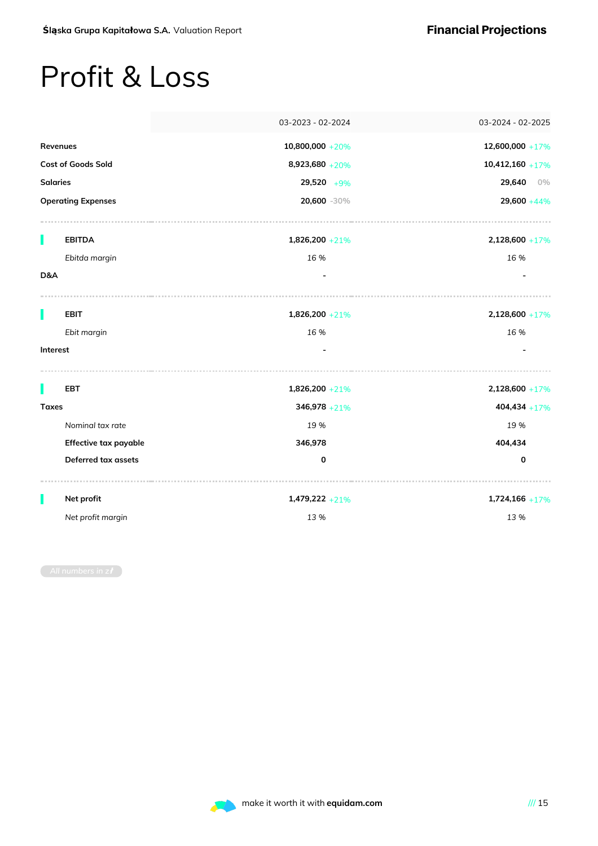### Profit & Loss

|                 |                            | 03-2023 - 02-2024   | 03-2024 - 02-2025  |
|-----------------|----------------------------|---------------------|--------------------|
| Revenues        |                            | $10,800,000 + 20\%$ | 12,600,000 +17%    |
|                 | <b>Cost of Goods Sold</b>  | 8,923,680 +20%      | $10,412,160 + 17%$ |
| <b>Salaries</b> |                            | $29,520 + 9\%$      | 29,640<br>$0\%$    |
|                 | <b>Operating Expenses</b>  | 20,600 -30%         | $29,600 + 44\%$    |
| П               | <b>EBITDA</b>              | $1,826,200 + 21%$   | $2,128,600 + 17\%$ |
|                 | Ebitda margin              | 16 %                | 16 %               |
| D&A             |                            |                     |                    |
|                 | <b>EBIT</b>                | $1,826,200 + 21%$   | $2,128,600 + 17\%$ |
|                 | Ebit margin                | 16 %                | 16 %               |
| Interest        |                            |                     |                    |
|                 | <b>EBT</b>                 | $1,826,200 + 21%$   | $2,128,600 + 17%$  |
| <b>Taxes</b>    |                            | $346,978 + 21\%$    | $404,434 + 17%$    |
|                 | Nominal tax rate           | 19 %                | 19%                |
|                 | Effective tax payable      | 346,978             | 404,434            |
|                 | <b>Deferred tax assets</b> | $\mathbf 0$         | $\mathbf 0$        |
|                 | Net profit                 | $1,479,222 + 21\%$  | $1,724,166 + 17%$  |
|                 | Net profit margin          | 13 %                | 13 %               |

*All numbers in z***ł**

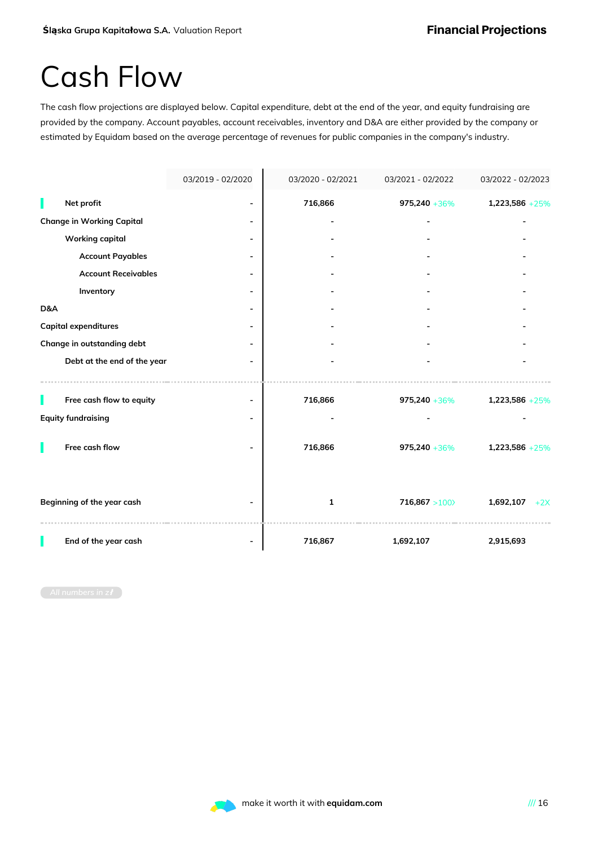### Cash Flow

The cash flow projections are displayed below. Capital expenditure, debt at the end of the year, and equity fundraising are provided by the company. Account payables, account receivables, inventory and D&A are either provided by the company or estimated by Equidam based on the average percentage of revenues for public companies in the company's industry.

|     |                                  | 03/2019 - 02/2020 | 03/2020 - 02/2021 | 03/2021 - 02/2022 | 03/2022 - 02/2023  |
|-----|----------------------------------|-------------------|-------------------|-------------------|--------------------|
|     | Net profit                       |                   | 716,866           | $975,240 + 36\%$  | 1,223,586 +25%     |
|     | <b>Change in Working Capital</b> |                   |                   |                   |                    |
|     | <b>Working capital</b>           |                   |                   |                   |                    |
|     | <b>Account Payables</b>          |                   |                   |                   |                    |
|     | <b>Account Receivables</b>       |                   |                   |                   |                    |
|     | Inventory                        |                   |                   |                   |                    |
| D&A |                                  |                   |                   |                   |                    |
|     | <b>Capital expenditures</b>      |                   |                   |                   |                    |
|     | Change in outstanding debt       |                   |                   |                   |                    |
|     | Debt at the end of the year      |                   |                   |                   |                    |
|     |                                  |                   |                   |                   |                    |
|     | Free cash flow to equity         |                   | 716,866           | $975,240 + 36\%$  | $1,223,586 + 25%$  |
|     | <b>Equity fundraising</b>        |                   |                   |                   |                    |
|     | Free cash flow                   |                   | 716,866           | $975,240 + 36\%$  | 1,223,586 +25%     |
|     | Beginning of the year cash       |                   | $\mathbf{1}$      | 716,867 > 100     | 1,692,107<br>$+2X$ |
|     | End of the year cash             |                   | 716,867           | 1,692,107         | 2,915,693          |

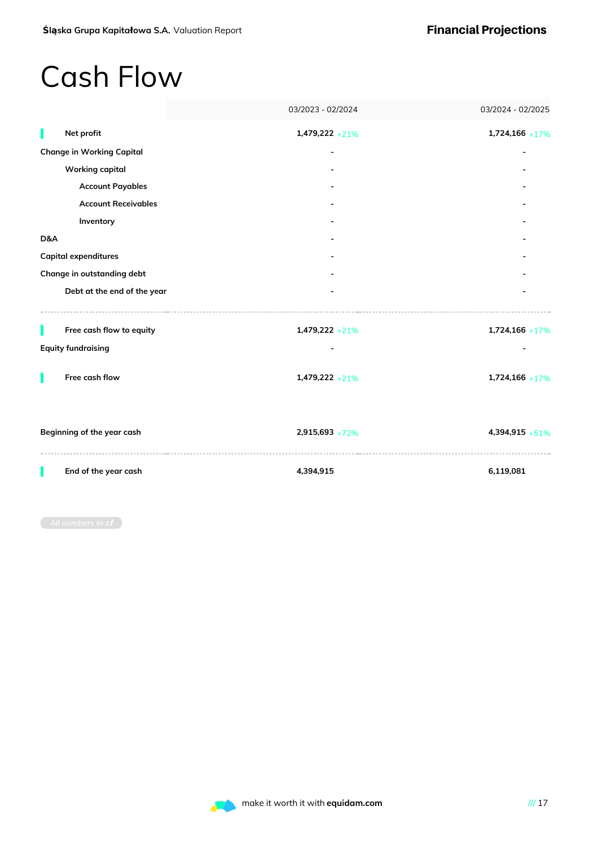### Cash Flow

|     |                                  | 03/2023 - 02/2024  | 03/2024 - 02/2025 |
|-----|----------------------------------|--------------------|-------------------|
|     | Net profit                       | $1,479,222 + 21\%$ | $1,724,166 + 17%$ |
|     | <b>Change in Working Capital</b> |                    |                   |
|     | <b>Working capital</b>           |                    |                   |
|     | <b>Account Payables</b>          |                    |                   |
|     | <b>Account Receivables</b>       |                    |                   |
|     | Inventory                        |                    |                   |
| D&A |                                  |                    |                   |
|     | Capital expenditures             |                    |                   |
|     | Change in outstanding debt       |                    |                   |
|     | Debt at the end of the year      |                    |                   |
|     |                                  |                    |                   |
|     | Free cash flow to equity         | $1,479,222 + 21\%$ | $1,724,166 + 17%$ |
|     | <b>Equity fundraising</b>        |                    |                   |
|     | Free cash flow                   | $1,479,222 + 21%$  | $1,724,166 + 17%$ |
|     | Beginning of the year cash       | $2,915,693 + 72\%$ | 4,394,915 +51%    |
|     | End of the year cash             | 4,394,915          | 6,119,081         |

*All numbers in z***ł**

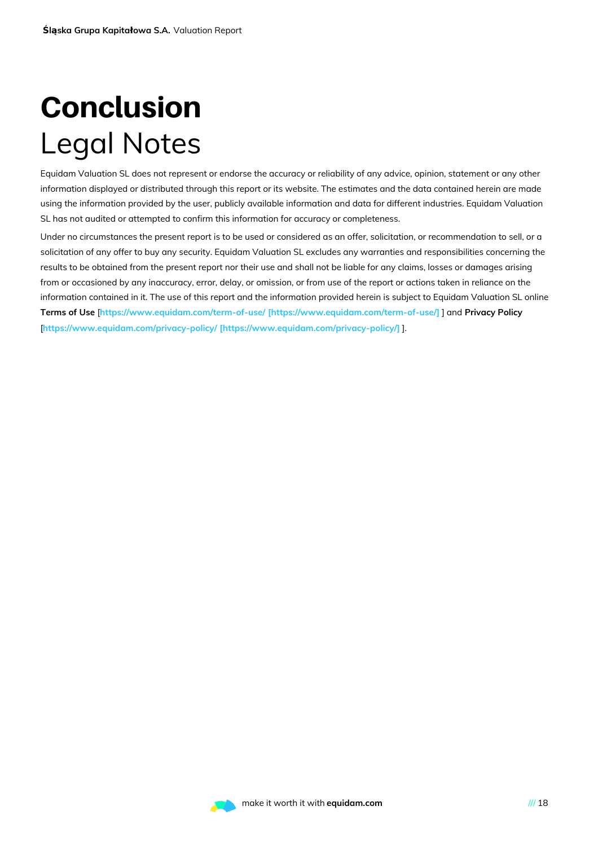# Conclusion Legal Notes

Equidam Valuation SL does not represent or endorse the accuracy or reliability of any advice, opinion, statement or any other information displayed or distributed through this report or its website. The estimates and the data contained herein are made using the information provided by the user, publicly available information and data for different industries. Equidam Valuation SL has not audited or attempted to confirm this information for accuracy or completeness.

Under no circumstances the present report is to be used or considered as an offer, solicitation, or recommendation to sell, or a solicitation of any offer to buy any security. Equidam Valuation SL excludes any warranties and responsibilities concerning the results to be obtained from the present report nor their use and shall not be liable for any claims, losses or damages arising from or occasioned by any inaccuracy, error, delay, or omission, or from use of the report or actions taken in reliance on the information contained in it. The use of this report and the information provided herein is subject to Equidam Valuation SL online **Terms of Use** [**https://www.equidam.com/term-of-use/ [\[https://www.equidam.com/term-of-use/\]](https://www.equidam.com/term-of-use/)** ] and **Privacy Policy** [**https://www.equidam.com/privacy-policy/ [\[https://www.equidam.com/privacy-policy/\]](https://www.equidam.com/privacy-policy/)** ].

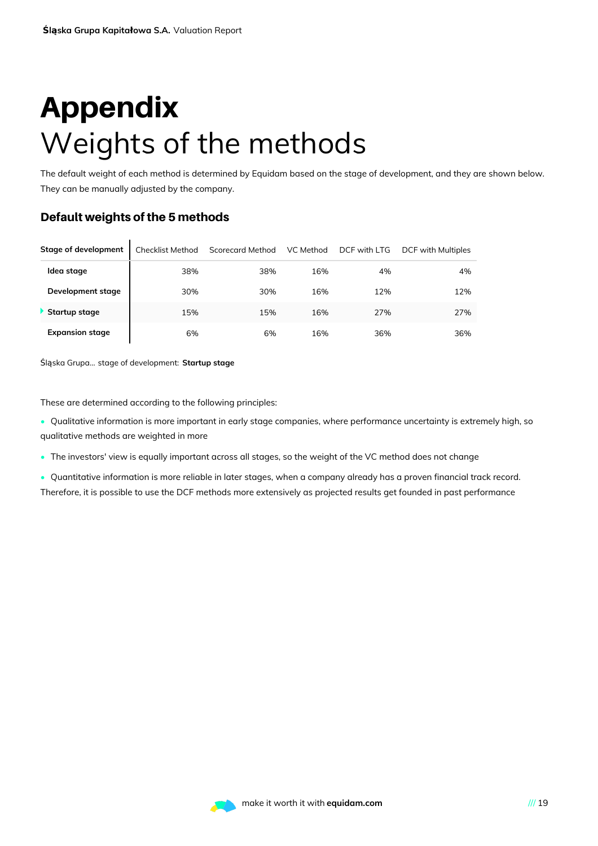# Appendix Weights of the methods

The default weight of each method is determined by Equidam based on the stage of development, and they are shown below. They can be manually adjusted by the company.

### Default weights of the 5 methods

| Stage of development   | <b>Checklist Method</b> | <b>Scorecard Method</b> | VC Method | DCF with LTG | DCF with Multiples |
|------------------------|-------------------------|-------------------------|-----------|--------------|--------------------|
| Idea stage             | 38%                     | 38%                     | 16%       | 4%           | 4%                 |
| Development stage      | 30%                     | 30%                     | 16%       | 12%          | 12%                |
| Startup stage          | 15%                     | 15%                     | 16%       | 27%          | 27%                |
| <b>Expansion stage</b> | 6%                      | 6%                      | 16%       | 36%          | 36%                |

Śląska Grupa... stage of development: **Startup stage**

These are determined according to the following principles:

- Qualitative information is more important in early stage companies, where performance uncertainty is extremely high, so qualitative methods are weighted in more
- The investors' view is equally important across all stages, so the weight of the VC method does not change
- Quantitative information is more reliable in later stages, when a company already has a proven financial track record. Therefore, it is possible to use the DCF methods more extensively as projected results get founded in past performance

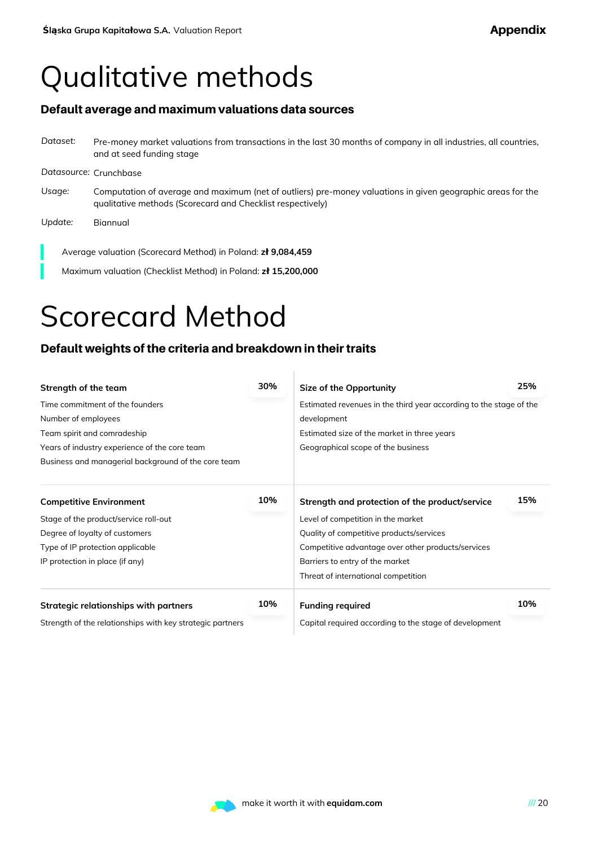## Qualitative methods

### Default average and maximum valuations data sources

*Dataset:* Pre-money market valuations from transactions in the last 30 months of company in all industries, all countries, and at seed funding stage *Datasource:* Crunchbase *Usage:* Computation of average and maximum (net of outliers) pre-money valuations in given geographic areas for the qualitative methods (Scorecard and Checklist respectively) *Update:* Biannual

Average valuation (Scorecard Method) in Poland: **zł 9,084,459**

Maximum valuation (Checklist Method) in Poland: **zł 15,200,000**

### Scorecard Method

### Default weights of the criteria and breakdown in their traits

| Strength of the team                                      | 30% | Size of the Opportunity                                            | 25% |  |  |  |
|-----------------------------------------------------------|-----|--------------------------------------------------------------------|-----|--|--|--|
| Time commitment of the founders                           |     | Estimated revenues in the third year according to the stage of the |     |  |  |  |
| Number of employees                                       |     | development                                                        |     |  |  |  |
| Team spirit and comradeship                               |     | Estimated size of the market in three years                        |     |  |  |  |
| Years of industry experience of the core team             |     | Geographical scope of the business                                 |     |  |  |  |
| Business and managerial background of the core team       |     |                                                                    |     |  |  |  |
| <b>Competitive Environment</b>                            | 10% | Strength and protection of the product/service                     | 15% |  |  |  |
| Stage of the product/service roll-out                     |     | Level of competition in the market                                 |     |  |  |  |
| Degree of loyalty of customers                            |     | Quality of competitive products/services                           |     |  |  |  |
| Type of IP protection applicable                          |     | Competitive advantage over other products/services                 |     |  |  |  |
| IP protection in place (if any)                           |     | Barriers to entry of the market                                    |     |  |  |  |
|                                                           |     | Threat of international competition                                |     |  |  |  |
| Strategic relationships with partners                     | 10% | <b>Funding required</b>                                            | 10% |  |  |  |
| Strength of the relationships with key strategic partners |     | Capital required according to the stage of development             |     |  |  |  |

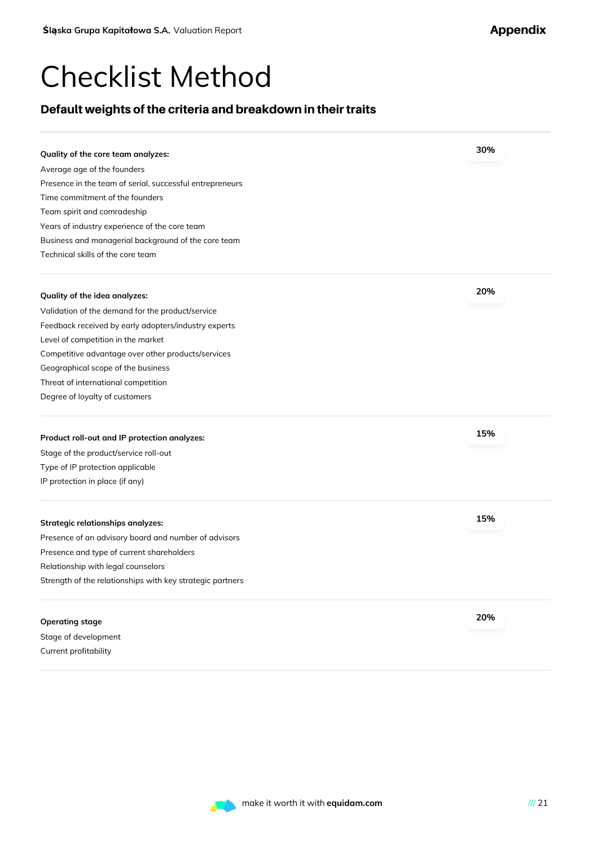### Checklist Method

### Default weights of the criteria and breakdown in their traits

| Quality of the core team analyzes:                                                                | 30% |
|---------------------------------------------------------------------------------------------------|-----|
| Average age of the founders                                                                       |     |
| Presence in the team of serial, successful entrepreneurs                                          |     |
| Time commitment of the founders                                                                   |     |
| Team spirit and comradeship                                                                       |     |
| Years of industry experience of the core team                                                     |     |
| Business and managerial background of the core team                                               |     |
| Technical skills of the core team                                                                 |     |
|                                                                                                   |     |
| Quality of the idea analyzes:                                                                     | 20% |
| Validation of the demand for the product/service                                                  |     |
| Feedback received by early adopters/industry experts                                              |     |
| Level of competition in the market                                                                |     |
| Competitive advantage over other products/services                                                |     |
| Geographical scope of the business                                                                |     |
| Threat of international competition                                                               |     |
| Degree of loyalty of customers                                                                    |     |
|                                                                                                   |     |
| Product roll-out and IP protection analyzes:                                                      | 15% |
| Stage of the product/service roll-out                                                             |     |
| Type of IP protection applicable                                                                  |     |
| IP protection in place (if any)                                                                   |     |
| Strategic relationships analyzes:                                                                 | 15% |
|                                                                                                   |     |
| Presence of an advisory board and number of advisors<br>Presence and type of current shareholders |     |
|                                                                                                   |     |
| Relationship with legal counselors                                                                |     |
| Strength of the relationships with key strategic partners                                         |     |
| Operating stage                                                                                   | 20% |
| Stage of development                                                                              |     |



Current profitability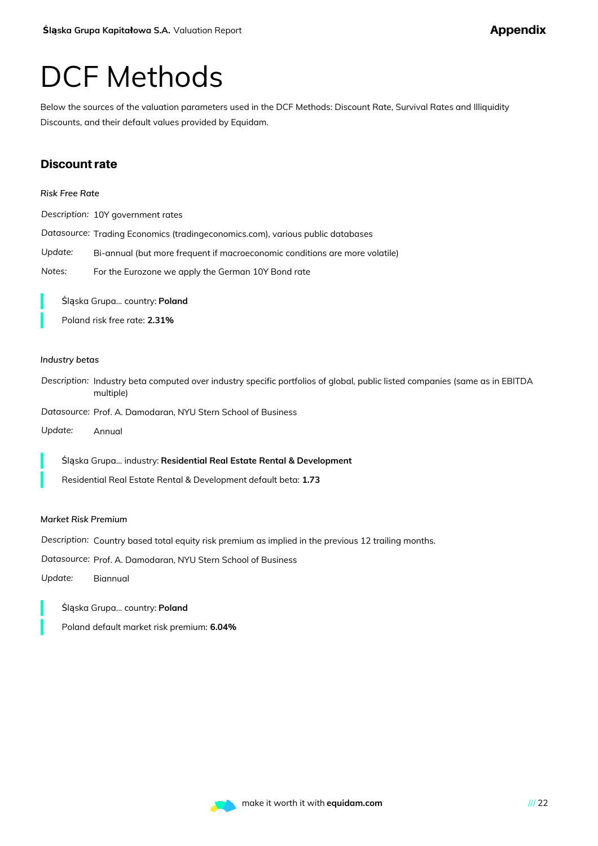### DCF Methods

Below the sources of the valuation parameters used in the DCF Methods: Discount Rate, Survival Rates and Illiquidity Discounts, and their default values provided by Equidam.

### **Discount rate**

| <b>Risk Free Rate</b> |                                                                                                                                          |
|-----------------------|------------------------------------------------------------------------------------------------------------------------------------------|
|                       | Description: 10Y government rates                                                                                                        |
|                       | Datasource: Trading Economics (tradingeconomics.com), various public databases                                                           |
| Update:               | Bi-annual (but more frequent if macroeconomic conditions are more volatile)                                                              |
| Notes:                | For the Eurozone we apply the German 10Y Bond rate                                                                                       |
|                       | Śląska Grupa country: Poland<br>Poland risk free rate: 2.31%                                                                             |
| Industry betas        |                                                                                                                                          |
|                       | Description: Industry beta computed over industry specific portfolios of global, public listed companies (same as in EBITDA<br>multiple) |
|                       | Datasource: Prof. A. Damodaran, NYU Stern School of Business                                                                             |
| Update:               | Annual                                                                                                                                   |
|                       | Śląska Grupa industry: Residential Real Estate Rental & Development                                                                      |
|                       | Residential Real Estate Rental & Development default beta: 1.73                                                                          |
|                       | <b>Market Risk Premium</b>                                                                                                               |
|                       | Description: Country based total equity risk premium as implied in the previous 12 trailing months.                                      |
|                       | Datasource: Prof. A. Damodaran, NYU Stern School of Business                                                                             |
| Update:               | Biannual                                                                                                                                 |
|                       | Śląska Grupa country: Poland                                                                                                             |

Poland default market risk premium: **6.04%**

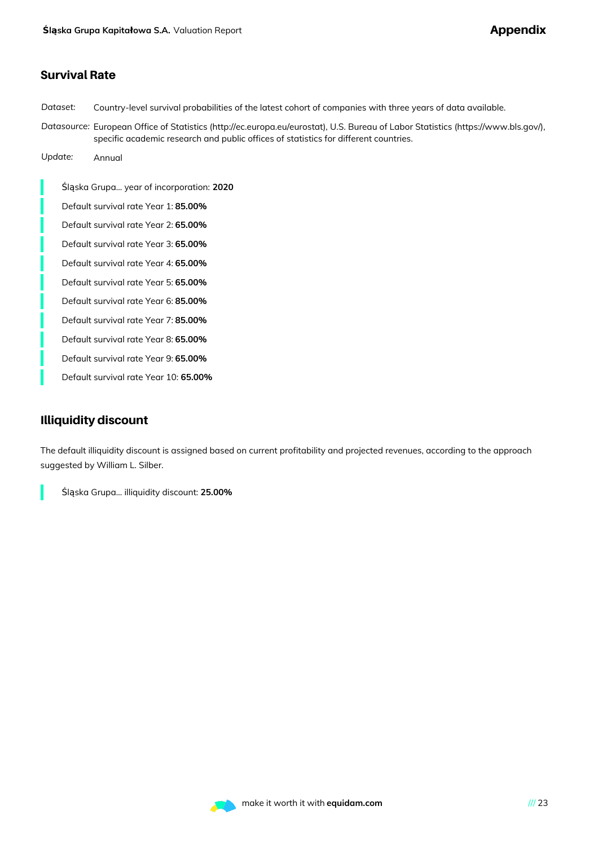### Survival Rate

*Dataset:* Country-level survival probabilities of the latest cohort of companies with three years of data available.

*Datasource:* European Office of Statistics (http://ec.europa.eu/eurostat), U.S. Bureau of Labor Statistics (https://www.bls.gov/), specific academic research and public offices of statistics for different countries.

*Update:* Annual

Śląska Grupa... year of incorporation: **2020** Default survival rate Year 1: **85.00%** Default survival rate Year 2: **65.00%** Default survival rate Year 3: **65.00%** Default survival rate Year 4: **65.00%** Default survival rate Year 5: **65.00%** Default survival rate Year 6: **85.00%** Default survival rate Year 7: **85.00%** Default survival rate Year 8: **65.00%** Default survival rate Year 9: **65.00%**

Default survival rate Year 10: **65.00%**

### Illiquidity discount

The default illiquidity discount is assigned based on current profitability and projected revenues, according to the approach suggested by William L. Silber.

Śląska Grupa... illiquidity discount: **25.00%**

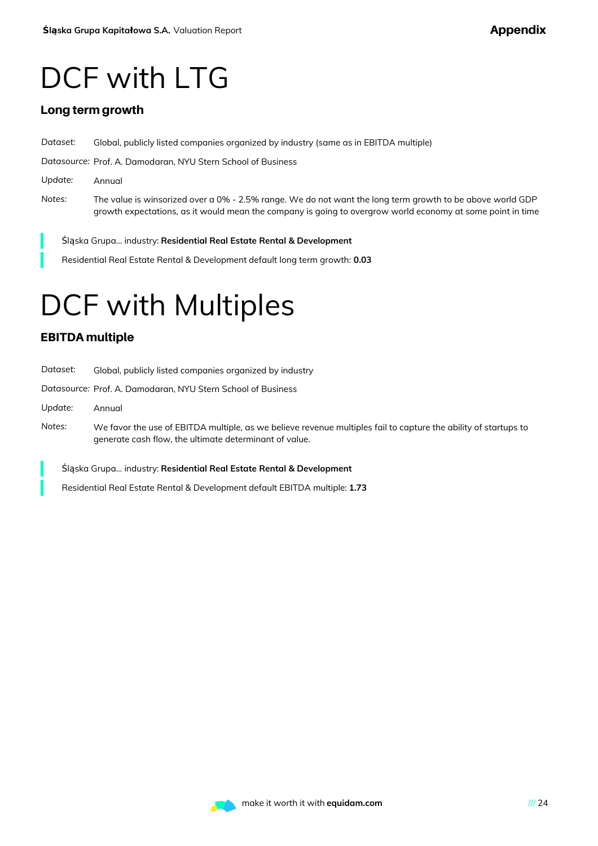## DCF with LTG

### Long term growth

*Dataset:* Global, publicly listed companies organized by industry (same as in EBITDA multiple) *Datasource:* Prof. A. Damodaran, NYU Stern School of Business *Update:* Annual *Notes:* The value is winsorized over a 0% - 2.5% range. We do not want the long term growth to be above world GDP growth expectations, as it would mean the company is going to overgrow world economy at some point in time

Śląska Grupa... industry: **Residential Real Estate Rental & Development**

Residential Real Estate Rental & Development default long term growth: **0.03**

# DCF with Multiples

### EBITDA multiple

| Dataset: | Global, publicly listed companies organized by industry                                                                                                                   |
|----------|---------------------------------------------------------------------------------------------------------------------------------------------------------------------------|
|          | Datasource: Prof. A. Damodaran, NYU Stern School of Business                                                                                                              |
| Update:  | Annual                                                                                                                                                                    |
| Notes:   | We favor the use of EBITDA multiple, as we believe revenue multiples fail to capture the ability of startups to<br>generate cash flow, the ultimate determinant of value. |
|          | Śląska Grupa industry: Residential Real Estate Rental & Development                                                                                                       |
|          | Residential Real Estate Rental & Development default EBITDA multiple: 1.73                                                                                                |